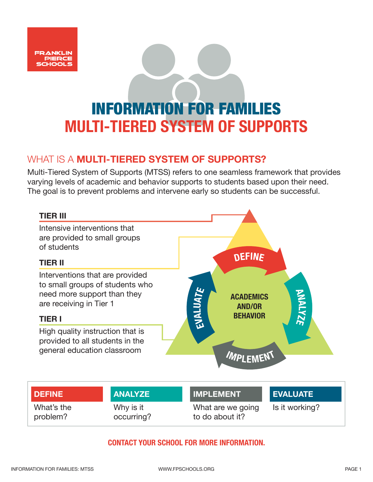

### WHAT IS A **MULTI-TIERED SYSTEM OF SUPPORTS?**

Multi-Tiered System of Supports (MTSS) refers to one seamless framework that provides varying levels of academic and behavior supports to students based upon their need. The goal is to prevent problems and intervene early so students can be successful.



#### **CONTACT YOUR SCHOOL FOR MORE INFORMATION.**